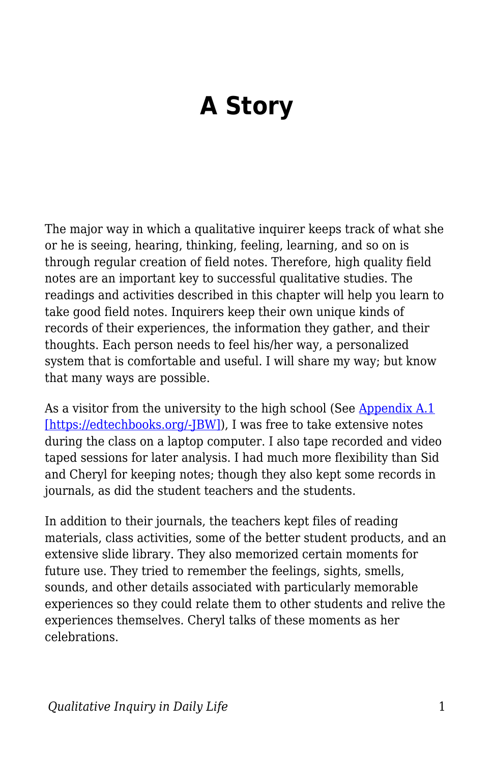## **A Story**

The major way in which a qualitative inquirer keeps track of what she or he is seeing, hearing, thinking, feeling, learning, and so on is through regular creation of field notes. Therefore, high quality field notes are an important key to successful qualitative studies. The readings and activities described in this chapter will help you learn to take good field notes. Inquirers keep their own unique kinds of records of their experiences, the information they gather, and their thoughts. Each person needs to feel his/her way, a personalized system that is comfortable and useful. I will share my way; but know that many ways are possible.

As a visitor from the university to the high school (See [Appendix A.1](https://edtechbooks.org/qualitativeinquiry/appendixa)) [\[https://edtechbooks.org/-JBW\]\)](https://edtechbooks.org/qualitativeinquiry/appendixa), I was free to take extensive notes during the class on a laptop computer. I also tape recorded and video taped sessions for later analysis. I had much more flexibility than Sid and Cheryl for keeping notes; though they also kept some records in journals, as did the student teachers and the students.

In addition to their journals, the teachers kept files of reading materials, class activities, some of the better student products, and an extensive slide library. They also memorized certain moments for future use. They tried to remember the feelings, sights, smells, sounds, and other details associated with particularly memorable experiences so they could relate them to other students and relive the experiences themselves. Cheryl talks of these moments as her celebrations.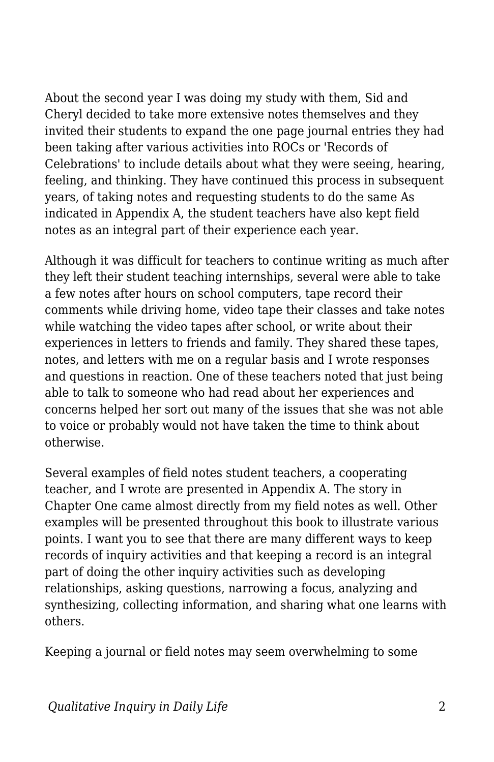About the second year I was doing my study with them, Sid and Cheryl decided to take more extensive notes themselves and they invited their students to expand the one page journal entries they had been taking after various activities into ROCs or 'Records of Celebrations' to include details about what they were seeing, hearing, feeling, and thinking. They have continued this process in subsequent years, of taking notes and requesting students to do the same As indicated in Appendix A, the student teachers have also kept field notes as an integral part of their experience each year.

Although it was difficult for teachers to continue writing as much after they left their student teaching internships, several were able to take a few notes after hours on school computers, tape record their comments while driving home, video tape their classes and take notes while watching the video tapes after school, or write about their experiences in letters to friends and family. They shared these tapes, notes, and letters with me on a regular basis and I wrote responses and questions in reaction. One of these teachers noted that just being able to talk to someone who had read about her experiences and concerns helped her sort out many of the issues that she was not able to voice or probably would not have taken the time to think about otherwise.

Several examples of field notes student teachers, a cooperating teacher, and I wrote are presented in Appendix A. The story in Chapter One came almost directly from my field notes as well. Other examples will be presented throughout this book to illustrate various points. I want you to see that there are many different ways to keep records of inquiry activities and that keeping a record is an integral part of doing the other inquiry activities such as developing relationships, asking questions, narrowing a focus, analyzing and synthesizing, collecting information, and sharing what one learns with others.

Keeping a journal or field notes may seem overwhelming to some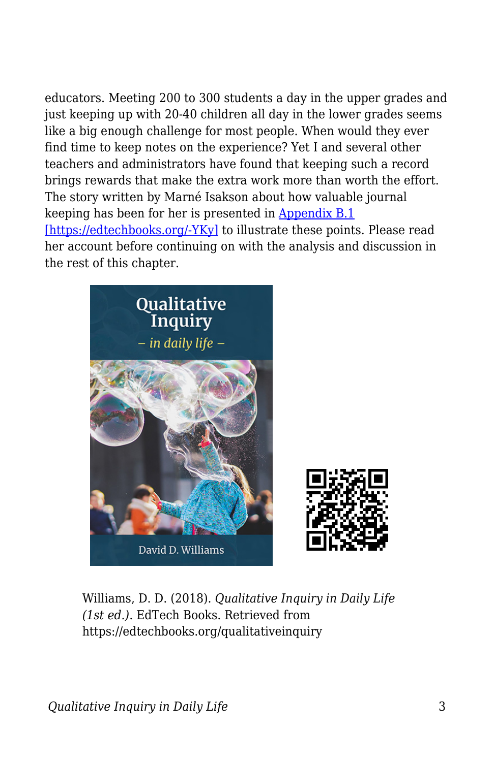educators. Meeting 200 to 300 students a day in the upper grades and just keeping up with 20-40 children all day in the lower grades seems like a big enough challenge for most people. When would they ever find time to keep notes on the experience? Yet I and several other teachers and administrators have found that keeping such a record brings rewards that make the extra work more than worth the effort. The story written by Marné Isakson about how valuable journal keeping has been for her is presented in [Appendix B.1](https://edtechbooks.org/qualitativeinquiry/appendixb) [\[https://edtechbooks.org/-YKy\]](https://edtechbooks.org/qualitativeinquiry/appendixb) to illustrate these points. Please read her account before continuing on with the analysis and discussion in the rest of this chapter.





Williams, D. D. (2018). *Qualitative Inquiry in Daily Life (1st ed.)*. EdTech Books. Retrieved from https://edtechbooks.org/qualitativeinquiry